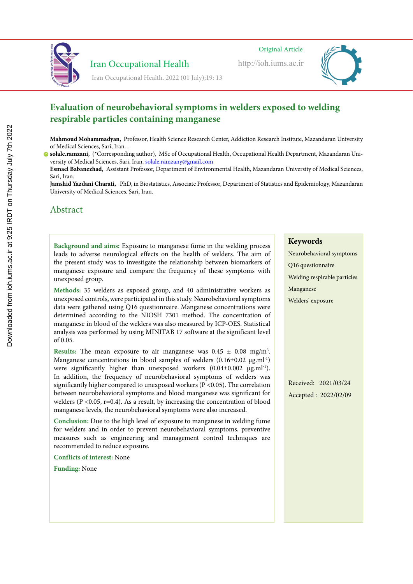

http://ioh.iums.ac.ir



 Iran Occupational Health Iran Occupational Health. 2022 (01 July);19: 13

#### **Evaluation of neurobehavioral symptoms in welders exposed to welding respirable particles containing manganese Lighting and color temperature assessment in the office workplaces and relation** of heurodenavior **Lighting and color temperature assessment in the office workplaces and relation of hear obenavior**

Mahmoud Mohammadyan, Professor, Health Science Research Center, Addiction Research Institute, Mazandaran University of Medical Sciences, Sari, Iran. .

**Jamshid Yazdani Charati,** PhD, in Biostatistics, Associate Professor, Department of Statistics and Epidemiology, Mazandaran University of Medical Sciences, Sari, Iran.

### Abstract Abstract

Background and aims: Exposure to manganese fume in the welding process leads to adverse neurological effects on the health of welders. The aim of the present study was to investigate the relationship between biomarkers of in present study was to investigate the relationship between biomarkers of hanganese exposure and compare the frequency of these symptoms with unexposed group. The productivity and reduce the productivity and reduce the productivity and efficiency of an ine present study was to investigate the relationship between biomancels of manganese exposure and compare the frequency of these symptoms with

Methods: 35 welders as exposed group, and 40 administrative workers as unexposed controls, were participated in this study. Neurobehavioral symptoms cap occurs affect on the factor parameter in the calapse control and proposition of the factors associated with  $\alpha$ depression is the defect in the defect in the defect in the defect in the defect of and  $\sigma$ determined according to the NIOSH  $/301$  method. The concentration of manganese in blood of the welders was also measured by ICP-OES. Statistical analysis was performed by using MINITAB 17 software at the significant level  $\int$ s have provided by different CCT provided by different CCT. also affects on the factors and health and state factors and spin-form of the factors as the factor of the factors as data were gathered using Q16 questionnaire. Manganese concentrations were depression is the defect of and and and defect in the defect in the defect of and  $\frac{1}{2}$ determined according to the NIOSH 7301 method. The concentration of  $\int_0^{\pi} 0.05$ . of 0.05.

in a finite point psychologically and physiologically and physiologically and physiologically, through the interview of  $\frac{1}{3}$  $\alpha$  and  $\alpha$  is the mean exposure to an inanguiese was  $0.45 \pm 0.06$  ing/m. Manganese concentrations in blood samples of welders (0.16±0.02 µg.ml<sup>-1</sup>) were significantly higher than unexposed workers  $(0.04\pm0.002 \mu g.ml^{-1})$ . In addition, the frequency of neurobehavioral symptoms of welders was significantly higher compared to unexposed workers (P < 0.05). The correlation between neurobehavioral symptoms and blood manganese was significant for welders ( $P < 0.05$ , r=0.4). As a result, by increasing the concentration of blood  $\frac{1}{2}$  consider the risk of  $\frac{1}{2}$  conditions increase the risk of visual and expansion  $\frac{1}{2}$  and  $\frac{1}{2}$  and  $\frac{1}{2}$  and  $\frac{1}{2}$  and  $\frac{1}{2}$  and  $\frac{1}{2}$  and  $\frac{1}{2}$  and  $\frac{1}{2}$  and  $\frac{1}{2}$  and nanganese ievels, the neurobehavioral symptoms were also increased.  $\sum_{i=1}^{n}$  in a finite production being production production  $\frac{1}{2}$  and  $\frac{1}{2}$ **Results:** The mean exposure to air manganese was  $0.45 \pm 0.08$  mg/m<sup>3</sup>.  $\frac{1}{2}$  consider the neurobehavioral symptoms were also increased manganese levels, the neurobehavioral symptoms were also increased.

Conclusion: Due to the high level of exposure to manganese in welding fume for welders and in order to prevent neurobehavioral symptoms, preventive measures such as engineering and management control techniques are recommended to reduce exposure.  $\frac{1}{\sqrt{2}}$  $\frac{1}{\sqrt{2}}$  studies of illumination at the work surface and at the height of the height of the height of the height of the height of the height of the height of the height of the height of the height of the height of the

**Conflicts of interest:** None

**Funding:** None analy role and distances and distances were accurately observed and measured with the presence of  $p$ 

### Keywords

Neurobehavioral symptoms Q16 questionnaire Welding respirable particles Manganese Welders' exposure

Received: 2021/03/24 Accepted : 2022/02/09

solale.ramzani, (\*Corresponding author), MSc of Occupational Health, Occupational Health Department, Mazandaran University of Medical Sciences, Sari, Iran. solale.ramzany@gmail.com **Mattramedin,** Corresponding admot), *MSC* of Occupational Health, Occupational Health Department, Mazamada Hamadan, Iran *Material Motamedia Corresponding addition*, *Professor Occupational Frami, Occupational Frami Department, Mazamara* 

Esmael Babanezhad, Assistant Professor, Department of Environmental Health, Mazandaran University of Medical Sciences, Sari, Iran.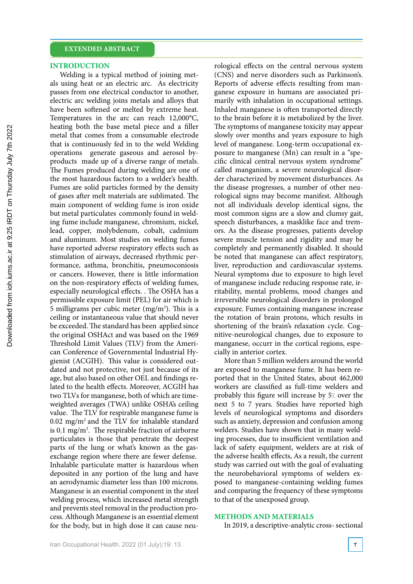### **INTRODUCTION**

Welding is a typical method of joining metals using heat or an electric arc. As electricity passes from one electrical conductor to another, electric arc welding joins metals and alloys that have been softened or melted by extreme heat. Temperatures in the arc can reach 12,000°C, heating both the base metal piece and a filler metal that comes from a consumable electrode that is continuously fed in to the weld Welding operations generate gaseous and aerosol byproducts made up of a diverse range of metals. The Fumes produced during welding are one of the most hazardous factors to a welder's health. Fumes are solid particles formed by the density of gases after melt materials are sublimated. The main component of welding fume is iron oxide but metal particulates commonly found in welding fume include manganese, chromium, nickel, lead, copper, molybdenum, cobalt, cadmium and aluminum. Most studies on welding fumes have reported adverse respiratory effects such as stimulation of airways, decreased rhythmic performance, asthma, bronchitis, pneumoconiosis or cancers. However, there is little information on the non-respiratory effects of welding fumes, especially neurological effects. . The OSHA has a permissible exposure limit (PEL) for air which is 5 milligrams per cubic meter  $(mg/m<sup>3</sup>)$ . This is a ceiling or instantaneous value that should never be exceeded. The standard has been applied since the original OSHAct and was based on the 1969 Threshold Limit Values (TLV) from the American Conference of Governmental Industrial Hygienist (ACGIH). This value is considered outdated and not protective, not just because of its age, but also based on other OEL and findings related to the health effects. Moreover, ACGIH has two TLVs for manganese, both of which are timeweighted averages (TWA) unlike OSHA's ceiling value. The TLV for respirable manganese fume is 0.02 mg/m3 and the TLV for inhalable standard is  $0.1 \text{ mg/m}^3$ . The respirable fraction of airborne particulates is those that penetrate the deepest parts of the lung or what's known as the gasexchange region where there are fewer defense. Inhalable particulate matter is hazardous when deposited in any portion of the lung and have an aerodynamic diameter less than 100 microns. Manganese is an essential component in the steel welding process, which increased metal strength and prevents steel removal in the production process. Although Manganese is an essential element for the body, but in high dose it can cause neu-

rological effects on the central nervous system (CNS) and nerve disorders such as Parkinson's. Reports of adverse effects resulting from manganese exposure in humans are associated primarily with inhalation in occupational settings. Inhaled manganese is often transported directly to the brain before it is metabolized by the liver. The symptoms of manganese toxicity may appear slowly over months and years exposure to high level of manganese. Long-term occupational exposure to manganese (Mn) can result in a ''specific clinical central nervous system syndrome'' called manganism, a severe neurological disorder characterized by movement disturbances. As the disease progresses, a number of other neurological signs may become manifest. Although not all individuals develop identical signs, the most common signs are a slow and clumsy gait, speech disturbances, a masklike face and tremors. As the disease progresses, patients develop severe muscle tension and rigidity and may be completely and permanently disabled. It should be noted that manganese can affect respiratory, liver, reproduction and cardiovascular systems. Neural symptoms due to exposure to high level of manganese include reducing response rate, irritability, mental problems, mood changes and irreversible neurological disorders in prolonged exposure. Fumes containing manganese increase the rotation of brain protons, which results in shortening of the brain's relaxation cycle. Cognitive-neurological changes, due to exposure to manganese, occurr in the cortical regions, especially in anterior cortex.

More than 5 million welders around the world are exposed to manganese fume. It has been reported that in the United States, about 462,000 workers are classified as full-time welders and probably this figure will increase by 5% over the next 5 to 7 years. Studies have reported high levels of neurological symptoms and disorders such as anxiety, depression and confusion among welders. Studies have shown that in many welding processes, due to insufficient ventilation and lack of safety equipment, welders are at risk of the adverse health effects, As a result, the current study was carried out with the goal of evaluating the neurobehavioral symptoms of welders exposed to manganese-containing welding fumes and comparing the frequency of these symptoms to that of the unexposed group.

### **METHODS AND MATERIALS**

In 2019, a descriptive-analytic cross- sectional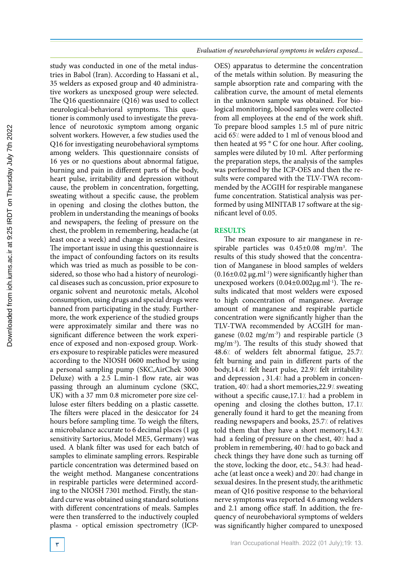study was conducted in one of the metal industries in Babol (Iran). According to Hassani et al., 35 welders as exposed group and 40 administrative workers as unexposed group were selected. The Q16 questionnaire (Q16) was used to collect neurological-behavioral symptoms. This questioner is commonly used to investigate the prevalence of neurotoxic symptom among organic solvent workers. However, a few studies used the Q16 for investigating neurobehavioral symptoms among welders. This questionnaire consists of 16 yes or no questions about abnormal fatigue, burning and pain in different parts of the body, heart pulse, irritability and depression without cause, the problem in concentration, forgetting, sweating without a specific cause, the problem in opening and closing the clothes button, the problem in understanding the meanings of books and newspapers, the feeling of pressure on the chest, the problem in remembering, headache (at least once a week) and change in sexual desires. The important issue in using this questionnaire is the impact of confounding factors on its results which was tried as much as possible to be considered, so those who had a history of neurological diseases such as concussion, prior exposure to organic solvent and neurotoxic metals, Alcohol consumption, using drugs and special drugs were banned from participating in the study. Furthermore, the work experience of the studied groups were approximately similar and there was no significant difference between the work experience of exposed and non-exposed group. Workers exposure to respirable paticles were measured according to the NIOSH 0600 method by using a personal sampling pump (SKC,AirChek 3000 Deluxe) with a 2.5 L.min-1 flow rate, air was passing through an aluminum cyclone (SKC, UK) with a 37 mm 0.8 micrometer pore size cellulose ester filters bedding on a plastic cassette. The filters were placed in the desiccator for 24 hours before sampling time. To weigh the filters, a microbalance accurate to 6 decimal places (1 µg sensitivity Sartorius, Model ME5, Germany) was used. A blank filter was used for each batch of samples to eliminate sampling errors. Respirable particle concentration was determined based on the weight method. Manganese concentrations in respirable particles were determined according to the NIOSH 7301 method. Firstly, the standard curve was obtained using standard solutions with different concentrations of meals. Samples were then transferred to the inductively coupled plasma - optical emission spectrometry (ICP-

*Evaluation of neurobehavioral symptoms in welders exposed...*

OES) apparatus to determine the concentration of the metals within solution. By measuring the sample absorption rate and comparing with the calibration curve, the amount of metal elements in the unknown sample was obtained. For biological monitoring, blood samples were collected from all employees at the end of the work shift. To prepare blood samples 1.5 ml of pure nitric acid 65% were added to 1 ml of venous blood and then heated at 95 ° C for one hour. After cooling, samples were diluted by 10 ml. After performing the preparation steps, the analysis of the samples was performed by the ICP-OES and then the results were compared with the TLV-TWA recommended by the ACGIH for respirable manganese fume concentration. Statistical analysis was performed by using MINITAB 17 software at the significant level of 0.05.

### **RESULTS**

The mean exposure to air manganese in respirable particles was  $0.45\pm0.08$  mg/m<sup>3</sup>. The results of this study showed that the concentration of Manganese in blood samples of welders  $(0.16\pm0.02 \,\mu g.m<sup>1-1</sup>)$  were significantly higher than unexposed workers  $(0.04\pm0.002\mu\text{g.m}^{1-1})$ . The results indicated that most welders were exposed to high concentration of manganese. Average amount of manganese and respirable particle concentration were significantly higher than the TLV-TWA recommended by ACGIH for manganese (0.02 mg/m-3) and respirable particle (3 mg/m-3). The results of this study showed that 48.6% of welders felt abnormal fatigue, 25.7% felt burning and pain in different parts of the body,14.4% felt heart pulse, 22.9% felt irritability and depression, 31.4/ had a problem in concentration, 40% had a short memories, 22.9% sweating without a specific cause, 17.1/ had a problem in opening and closing the clothes button, 17.1% generally found it hard to get the meaning from reading newspapers and books, 25.7% of relatives told them that they have a short memory, 14.3% had a feeling of pressure on the chest, 40/ had a problem in remembering, 40% had to go back and check things they have done such as turning off the stove, locking the door, etc., 54.3/ had headache (at least once a week) and 20% had change in sexual desires. In the present study, the arithmetic mean of Q16 positive response to the behavioral nerve symptoms was reported 4.6 among welders and 2.1 among office staff. In addition, the frequency of neurobehavioral symptoms of welders was significantly higher compared to unexposed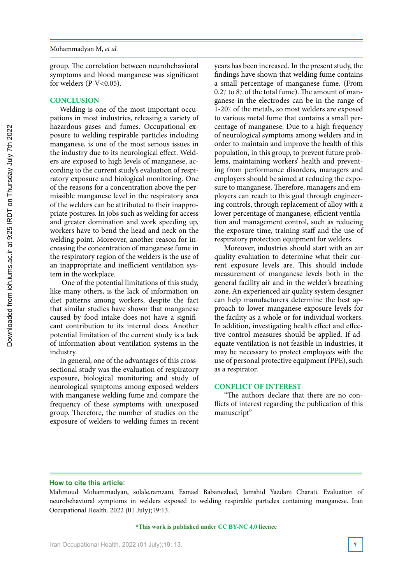group. The correlation between neurobehavioral symptoms and blood manganese was significant for welders  $(P-V<0.05)$ .

### **CONCLUSION**

Welding is one of the most important occupations in most industries, releasing a variety of hazardous gases and fumes. Occupational exposure to welding respirable particles including manganese, is one of the most serious issues in the industry due to its neurological effect. Welders are exposed to high levels of manganese, according to the current study's evaluation of respiratory exposure and biological monitoring. One of the reasons for a concentration above the permissible manganese level in the respiratory area of the welders can be attributed to their inappropriate postures. In jobs such as welding for access and greater domination and work speeding up, workers have to bend the head and neck on the welding point. Moreover, another reason for increasing the concentration of manganese fume in the respiratory region of the welders is the use of an inappropriate and inefficient ventilation system in the workplace.

 One of the potential limitations of this study, like many others, is the lack of information on diet patterns among workers, despite the fact that similar studies have shown that manganese caused by food intake does not have a significant contribution to its internal does. Another potential limitation of the current study is a lack of information about ventilation systems in the industry.

In general, one of the advantages of this crosssectional study was the evaluation of respiratory exposure, biological monitoring and study of neurological symptoms among exposed welders with manganese welding fume and compare the frequency of these symptoms with unexposed group. Therefore, the number of studies on the exposure of welders to welding fumes in recent

years has been increased. In the present study, the findings have shown that welding fume contains a small percentage of manganese fume. (From  $0.2$ / to  $8$ / of the total fume). The amount of manganese in the electrodes can be in the range of 1-20% of the metals, so most welders are exposed to various metal fume that contains a small percentage of manganese. Due to a high frequency of neurological symptoms among welders and in order to maintain and improve the health of this population, in this group, to prevent future problems, maintaining workers' health and preventing from performance disorders, managers and employers should be aimed at reducing the exposure to manganese. Therefore, managers and employers can reach to this goal through engineering controls, through replacement of alloy with a lower percentage of manganese, efficient ventilation and management control, such as reducing the exposure time, training staff and the use of respiratory protection equipment for welders.

Moreover, industries should start with an air quality evaluation to determine what their current exposure levels are. This should include measurement of manganese levels both in the general facility air and in the welder's breathing zone. An experienced air quality system designer can help manufacturers determine the best approach to lower manganese exposure levels for the facility as a whole or for individual workers. In addition, investigating health effect and effective control measures should be applied. If adequate ventilation is not feasible in industries, it may be necessary to protect employees with the use of personal protective equipment (PPE), such as a respirator.

### **CONFLICT OF INTEREST**

"The authors declare that there are no conflicts of interest regarding the publication of this manuscript"

### **How to cite this article**:

Mahmoud Mohammadyan, solale.ramzani, Esmael Babanezhad, Jamshid Yazdani Charati. Evaluation of neurobehavioral symptoms in welders exposed to welding respirable particles containing manganese. Iran Occupational Health. 2022 (01 July);19:13.

### **\*This work is published under CC BY-NC 4.0 licence**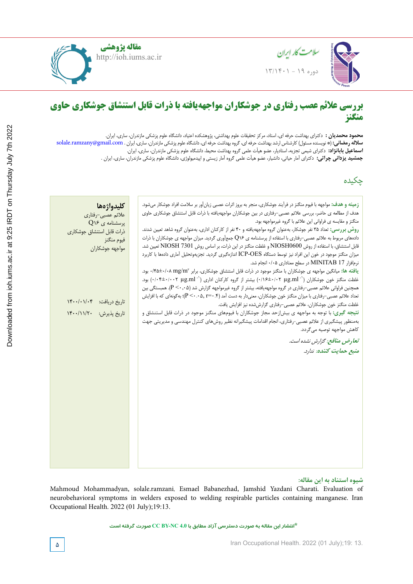



### $\mathbf{L}$  and color temperature assessment in the office work  $\mathbf{L}$ **relationship to visual fatigue Lighting and color temperature assessment in the office workplaces and بررسی عالئم عصب رفتاری در جوشکاران مواجههیافته با ذرات قابل استنشاق جوشکاری حاوی منگنز**

محمود محمد **سلاله رمضاني** مسلاله **اسماعیل بابانژاد:** دکترای شیمی تجزیه، استادیار، عضو هیأت علمی گروه بهداشت محیط، دانشگاه علوم پزشکی مازندران، ساری، ایران. **Majid Motamedzadeh Torghabeh,** Professor, Department of Ergonomics, School of Health, Hamadan University of ID **محمود محمدیان :** دکترای بهداشت حرفه ای، استاد، مرکز تحقیقات علوم بهداشتی، پژوهشکده اعتیاد، دانشگاه علوم پزشکی مازندران، ساری، ایران. Center for Health Sciences Research, Hamedan University of Medical Sciences, Hamedan, Iran. golmohamadi@umsha.ac.ir **كبر الكترى** Solale.ra **Majid Motamedzadeh Torghabeh,** Professor, Department of Ergonomics, School of Health, Hamadan University of سلاله رمضانی: (\* نویسنده مسئول) کارشناس ارشد بهداشت حرفه ای، گروه بهداشت حرفه ای، دانشگاه علوم پزشکی مازندران، ساری، ایران . solale.ramzany@gmail.com **جمشید یزدانی چراتی:** دکترای آمار حیاتی، دانشیار، عضو هیأت علمی گروه آمار زیستی و اپیدمیولوژی، دانشگاه علوم پزشکی مازندران، ساری، ایران .

# چکیده

Medical Sciences, Hamadan, Iran

| كليدواژهها                | <b>زمینه و هدف:</b> مواجهه با فیوم منگنز در فرآیند جوشکاری، منجر به بروز اثرات عصبی زیانآور بر سلامت افراد جوشکار میشود. |  |
|---------------------------|--------------------------------------------------------------------------------------------------------------------------|--|
| علائم عصبي-رفتاري         | هدف از مطالعه ی حاضر، بررسی علائم عصبی-رفتاری در بین جوشکاران مواجههیافته با ذرات قابل استنشاق جوشکاری حاوی              |  |
| $Q$ برسشنامه ی ۶          | منگنز و مقایسه ی فراوانی این علائم با گروه غیرمواجهه بود.                                                                |  |
| ذرات قابل استنشاق جوشكارى | روش بررسی: تعداد ۳۵ نفر جوشکار، بهعنوان گروه مواجههیافته و ۴۰ نفر از کارکنان اداری، بهعنوان گروه شاهد تعیین شدند.        |  |
| فيوم منگنز                | دادههای مربوط به علائم عصبی-رفتاری با استفاده از پرسشنامه ی Q۱۶ جمعآوری گردید. میزان مواجهه ی جوشکاران با ذرات           |  |
| مواجهه جوشكاران           | قابل استنشاق، با استفاده از روش NIOSH0600 و غلظت منگنز در این ذرات، بر اساس روش NIOSH 7301 تعیین شد.                     |  |
|                           | میزان منگنز موجود در خون این افراد نیز توسط دستگاه ICP-OES اندازهگیری گردید. تجزیهوتحلیل آماری دادهها با کاربرد          |  |
|                           | نرم افزار MINITAB 17 در سطح معناداری ۰/۰۵ انجام شد.                                                                      |  |
|                           | یافته ها: میانگین مواجهه ی جوشکاران با منگنز موجود در ذرات قابل استنشاق جوشکاری، برابر ۰/۴۵±۰/۰۸ mg/m۲ بود.              |  |
|                           |                                                                                                                          |  |
|                           | همچنین فراوانی علائم عصبی-رفتاری در گروه مواجههیافته، بیشتر از گروه غیرمواجهه گزارش شد (P <۰٫۰۵). همبستگی بین            |  |
|                           | تعداد علائم عصبی-رفتاری با میزان منگنز خون جوشکاران، معنیدار به دست آمد (P <۰.۰۵, r=۰.۴)؛ بهگونهای که با افزایش          |  |
| تاريخ دريافت: ۱۴۰۰/۰۱/۰۴  | غلظت منگنز خون جوشكاران، علائم عصبى-رفتارى گزارششده نيز افزايش يافت.                                                     |  |
| تاريخ پذيرش: ١۴٠٠/١١/٢٠   | <b>نتیجه گیری:</b> با توجه به مواجهه ی بیش زحد مجاز جوشکاران با فیومهای منگنز موجود در ذرات قابل استنشاق و               |  |
|                           | بهمنظور پیشگیری از علائم عصبی-رفتاری، انجام اقدامات پیشگیرانه نظیر روشهای کنترل مهندسی و مدیریتی جهت                     |  |
|                           | كاهش مواجهه توصيه مي گردد.                                                                                               |  |
|                           |                                                                                                                          |  |
|                           | تعارض منافع: گزارش نشده است.                                                                                             |  |
|                           | منبع حمايت كننده: ندارد.                                                                                                 |  |
|                           |                                                                                                                          |  |
|                           |                                                                                                                          |  |
|                           |                                                                                                                          |  |
|                           |                                                                                                                          |  |
|                           |                                                                                                                          |  |
|                           |                                                                                                                          |  |
|                           |                                                                                                                          |  |
|                           |                                                                                                                          |  |
|                           |                                                                                                                          |  |
|                           |                                                                                                                          |  |
|                           |                                                                                                                          |  |
|                           |                                                                                                                          |  |
|                           |                                                                                                                          |  |
|                           |                                                                                                                          |  |

### شیوه استناد به این مقاله:

Mahmoud Mohammadyan, solale.ramzani, Esmael Babanezhad, Jamshid Yazdani Charati. Evaluation of neurobehavioral symptoms in welders exposed to welding respirable particles containing manganese. Iran Occupational Health. 2022 (01 July);19:13.

**\*انتشار این مقاله به صورت دسترسی آزاد مطابق با 4.0 NC-BY CC صورت گرفته است**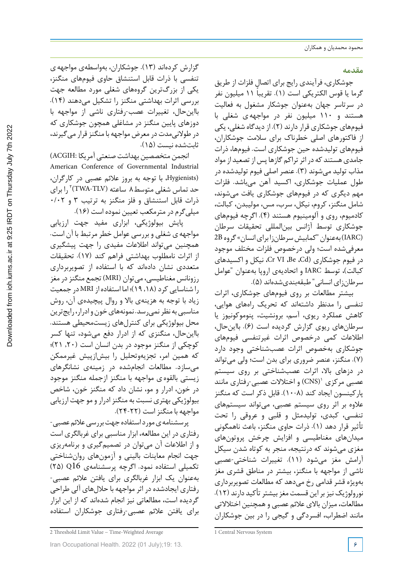### **مقدمه**

جوشکاری، فرآیندی رایج برای اتصال فلزات از طریق گرما یا قوس الکتریکی است (۱). تقریباً ۱۱ میلیون نفر در سرتاسر جهان بهعنوان جوشکار مشغول به فعالیت هستند و 110 میلیون نفر در مواجههی شغلی با فیومهای جوشکاری قراردارند (2). ازدیدگاه شغلی، یکی از فاکتورهای اصلی خطرناك برای سالمت جوشکاران، فیومهای تولیدشده حین جوشکاری است. فیومها، ذرات جامدی هستند که در اثر تراکم گازها پس از تصعید از مواد مذاب تولید میشوند (3). عنصر اصلی فیوم تولیدشده در طول عملیات جوشکاری، اکسید آهن میباشد. فلزات مهم دیگری که در فیومهای جوشکاری یافت میشوند، شامل منگنز، کروم، نیکل، سرب، مس، مولیبدن، کبالت، کادمیوم، روی و آلومینیوم هستند (4). اگرچه فیومهای جوشکاری توسط آژانس بینالمللی تحقیقات سرطان (IARC) به عنوان "کمابیش سرطان زا برای انسان» گروه 2B معرفیشده است؛ ولی درخصوص فلزات مختلف موجود در فیوم جوشکاری (Cd، Be، VI Cr، نیکل و اکسیدهای کبالت)، توسط IARC و اتحادیهی اروپا بهعنوان "عوامل سرطانزای انسانی" طبقهبندیشدهاند (5).

بیشتر مطالعات بر روی فیومهای جوشکاری، اثرات تنفسی را مدنظر داشتهاند که تحریک راههای هوایی، کاهش عملکرد ریوی، آسم، برونشیت، پنوموکونیوز یا سرطانهای ریوی گزارش گردیده است (6). بااینحال، اطالعات کمی درخصوص اثرات غیرتنفسی فیومهای جوشکاری بهخصوص اثرات عصبشناختی وجود دارد (7). منگنز، عنصر ضروری برای بدن است؛ ولی میتواند در دزهای باال، اثرات عصبشناختی بر روی سیستم عصبی مرکزی '(CNS) و اختلالات عصبی-رفتاری مانند پارکینسون ایجاد کند (10-8). قابل ذکر است که منگنز عالوه بر اثر روی سیستم عصبی، میتواند سیستمهای تنفسی، کبدی، تولیدمثل و قلبی و عروقی را تحت تأثیر قرار دهد (1). ذرات حاوی منگنز، باعث ناهمگونی میدانهای مغناطیسی و افزایش چرخش پروتونهای مغزی میشوند که درنتیجه، منجر به کوتاه شدن سیکل آرامش مغز میشود (11). تغییرات شناختی-عصبی ناشی از مواجهه با منگنز، بیشتر در مناطق قشری مغز بهویژه قشر قدامی رخ میدهد که مطالعات تصویربرداری نورولوژیک نیزبراین قسمت مغزبیشترتأکید دارند (12). مطالعات، میزان باالی عالئم عصبی وهمچنین اختالالتی مانند اضطراب، افسردگی و گیجی را در بین جوشکاران

گزارش کردهاند (13). جوشکاران، بهواسطهی مواجههی تنفسی با ذرات قابل استنشاق حاوی فیومهای منگنز، یکی از بزرگترین گروههای شغلی مورد مطالعه جهت بررسی اثرات بهداشتی منگنز را تشکیل میدهند (14). بااینحال، تغییرات عصب-رفتاری ناشی از مواجهه با دوزهای پایین منگنز در مشاغلی همچون جوشکاری که در طولانیمدت در معرض مواجهه با منگنز قرار می گیرند، ثابتشده نیست (15).

انجمن متخصصین بهداشت صنعتی آمریکا :ACGIH( American Conference of Governmental Industrial (Hygienists، با توجه به بروز عالئم عصبی در کارگران، حد تماس شغلی متوسط۸ ساعته (TWA-TLV)<sup>۲</sup> را برای ذرات قابل استنشاق و فلز منگنز به ترتیب 3 و 0/02 میلیگرم در مترمکعب تعیین نموده است (16).

پایش بیولوژیکی، ابزاری مفید جهت ارزیابی مواجههی شغلی و بررسی عوامل خطرمرتبط با آن است. همچنین میتواند اطالعات مفیدی را جهت پیشگیری از اثرات نامطلوب بهداشتی فراهم کند (17). تحقیقات متعددی نشان دادهاند که با استفاده از تصویربرداری رزونانس مغناطیسی، میتوان (MRI (تجمع منگنزدر مغز را شناساییکرد (,18 19)؛ اما استفادهاز MRI در جمعیت زیاد با توجه به هزینهی باال و روال پیچیدهی آن، روش مناسبی به نظر نمی <sub>د</sub>سد. نمونههای خون و ادرار، رایجترین محل بیولوژیکی برای کنترلهای زیستمحیطی هستند. بااینحال، منگنزی که از ادرار دفع میشود، تنها کسر کوچکی از منگنز موجود در بدن انسان است (,20 21)؛ که همین امر، تجزیهوتحلیل را بیشازپیش غیرممکن میسازد. مطالعات انجامشده در زمینهی نشانگرهای زیستی بالقوهی مواجهه با منگنز ازجمله منگنز موجود در خون، ادرار و مو، نشان داد که منگنز خون، شاخص بیولوژیکی بهتری نسبت به منگنزادرار و مو جهت ارزیابی مواجهه با منگنزاست (24-22).

پرسشنامه ی مورد استفاده جهت بررسی علائم عصبی-رفتاری در این مطالعه، ابزار مناسبی برای غربالگری است و از اطالعات آن میتوان در تصمیمگیری و برنامهریزی جهت انجام معاینات بالینی و آزمونهای روانشناختی تکمیلی استفاده نمود. اگرچه پرسشنامهی 16Q) 25 ( بهعنوان یک ابزار غربالگری برای یافتن عالئم عصبی- رفتاری ایجادشده در اثر مواجهه با حاللهای آلی طراحی گردیده است، مطالعاتی نیز انجام شدهاند که از این ابزار برای یافتن عالئم عصبی-رفتاری جوشکاران استفاده

<sup>1</sup> Central Nervous System

<sup>2</sup> Threshold Limit Value − Time-Weighted Average

Iran Occupational Health. 2022 (01 July);19: 13. **6**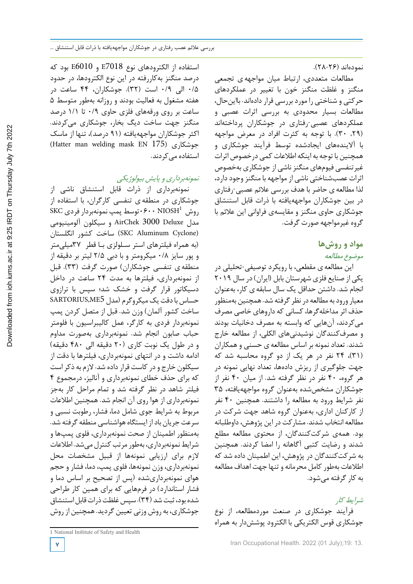استفاده از الکترودهای نوع 7018E و 6010E بود که درصد منگنز بهکاررفته در این نوع الکترودها، در حدود 0/5 الی 0/9 است (32). جوشکاران، 44 ساعت در هفته مشغول به فعالیت بودند و روزانه بهطور متوسط 5 ساعت بر روی ورقههای فلزی حاوی 0/9 تا 1/1 درصد منگنز جهت ساخت دیگ بخار، جوشکاری میکردند. اکثر جوشکاران مواجههیافته (91 درصد)، تنها از ماسک (Hatter man welding mask EN 175) جوشکاری استفاده می کردند.

نمونهبرداری <sup>و</sup> پایش بیولوژیکی

نمونهبرداری از ذرات قابل استنشاق ناشی از جوشکاری در منطقه ی تنفسی کارگران، با استفاده از  $\rm SKC$ روش  $\rm \cdot NIOSH^1$ ۰۶۰۰ توسط پمپ نمونهبردار فردی مدل Deluxe 3000 AirChek و سیکلون آلومینیومی (Cyclone Aluminum SKC (ساخت کشور انگلستان (به همراه فیلترهای استر سـلولزی بـا قطر 37میلیمتر و پور سایز 0/8 میکرومتر و با دبی 2/5 لیتر بر دقیقه از منطقه ی تنفسی جوشکاران) صورت گرفت (33). قبل از نمونهبرداری، فیلترها به مدت 24 ساعت در داخل دسیکاتور قرار گرفت و خشک شد؛ سپس با ترازوی حساس بادقت یک میکروگرم (مدل 5ME,SARTORIUS ساخت کشور آلمان) وزن شد. قبل از متصل کردن پمپ نمونهبردار فردی به کارگر، عمل کالیبراسیون با فلومتر حباب صابون انجام شد. نمونهبرداری بهصورت مداوم و در طول یک نوبت کاری (20 دقیقه الی 480 دقیقه) ادامه داشت و در انتهای نمونهبرداری، فیلترها با دقت از سیکلون خارج و در کاست قرار داده شد. لازم به ذکر است که برای حذف خطای نمونهبرداری و آنالیز، درمجموع 4 فیلتر شاهد در نظر گرفته شد و تمام مراحل کار بهجز نمونهبرداری از هوا روی آن انجام شد. همچنین اطالعات مربوط به شرایط جوی شامل دما، فشار، رطوبت نسبی و سرعت جریان باداز ایستگاه هواشناسی منطقه گرفته شد. بهمنظور اطمینان از صحت نمونهبرداری، فلوی پمپها و شرایط نمونهبرداری، بهطور مرتب کنترل می شد. اطلاعات الزم برای ارزیابی نمونهها از قبیل مشخصات محل نمونهبرداری، وزن نمونهها، فلوی پمپ، دما، فشار و حجم هوای نمونهبرداریشده (پس از تصحیح بر اساس دما و فشار استاندارد) در فرمهایی که برای همین کار طراحی شده بود، ثبت شد (٣۴). سپس غلظت ذرات قابل استنشاق جوشکاری، به روش وزنی تعیین گردید. همچنین از روش

فرآیند جوشکاری در صنعت موردمطالعه، از نوع

شرایط کار

به کارگرفته میشود.

نمودهاند (28-26).

گروه غیرمواجهه صورت گرفت.

**مواد و روشها** موضوع مطالعه

مطالعات متعددی، ارتباط میان مواجههی تجمعی منگنز و غلظت منگنز خون با تغییر در عملکردهای حرکتی و شناختی را موردبررسی قراردادهاند. بااینحال، مطالعات بسیار محدودی به بررسی اثرات عصبی و عملکردهای عصبی-رفتاری در جوشکاران پرداختهاند (,29 30). با توجه به کثرت افراد در معرض مواجهه با آالیندههای ایجادشده توسط فرآیند جوشکاری و همچنین با توجه به اینکه اطلاعات کمی درخصوص اثرات غیرتنفسی فیومهای منگنزناشی از جوشکاری بهخصوص اثرات عصبشناختی ناشی از مواجهه با منگنز وجود دارد، لذا مطالعهی حاضر با هدف بررسی عالئم عصبی-رفتاری در بین جوشکاران مواجههیافته با ذرات قابل استنشاق جوشکاری حاوی منگنز و مقایسهی فراوانی این عالئم با

این مطالعهی مقطعی، با رویکرد توصیفی-تحلیلی در یکی از صنایع فلزی شهرستان بابل (ایران) در سال 2019 انجام شد. داشتن حداقل یک سال سابقهی کار، بهعنوان معیار ورود به مطالعه در نظر گرفته شد. همچنین بهمنظور حذف اثر مداخلهگرها، کسانی که داروهای خاصی مصرف میکردند، آنهایی که وابسته به مصرف دخانیات بودند و مصرفکنندگان نوشیدنیهای الکلی، از مطالعه خارج شدند. تعداد نمونه بر اساس مطالعهی حسنی و همکاران (31)، 24 نفر در هر یک از دو گروه محاسبه شد که جهت جلوگیری از ریزش دادهها، تعداد نهایی نمونه در هر گروه، 40 نفر در نظر گرفته شد. از میان 40 نفر از جوشکاران مشخصشده بهعنوان گروه مواجههیافته، 35 نفر شرایط ورود به مطالعه را داشتند. همچنین 40 نفر از کارکنان اداری، بهعنوان گروه شاهد جهت شرکت در مطالعه انتخاب شدند. مشارکت در این پژوهش،داوطلبانه بود. همهی شرکتکنندگان، از محتوی مطالعه مطلع شدند و رضایت کتبی آگاهانه را امضا کردند. همچنین به شرکتکنندگان در پژوهش، این اطمینان داده شد که اطالعات بهطورکامل محرمانه و تنها جهت اهداف مطالعه

جوشکاری قوس الکتریکی با الکترود پوششدار به همراه

Downloaded from ioh.iums.ac.ir at 9:25 IRDT on Thursday July 7th 2022 [Downloaded from ioh.iums.ac.ir at 9:25 IRDT on Thursday July 7th 2022](http://ioh.iums.ac.ir/article-1-3203-fa.html)

<sup>1</sup> National Institute of Safety and Health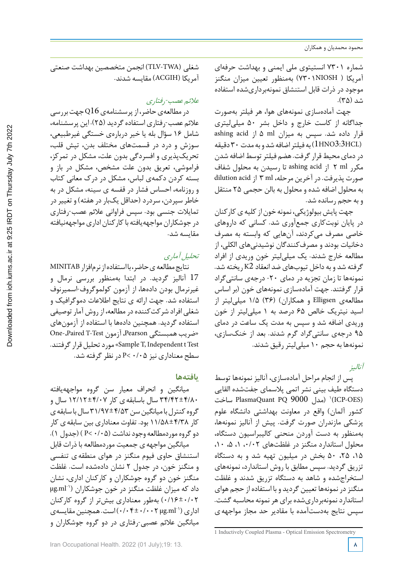شماره 7301 انستیتوی ملی ایمنی و بهداشت حرفهای آمریکا ( NIOSH7301 (بهمنظور تعیین میزان منگنز موجود در ذرات قابل استنشاق نمونهبرداریشده استفاده شد (35).

جهت آمادهسازی نمونههای هوا، هر فیلتر بهصورت جداگانه از کاست خارج و داخل بشر 50 میلیلیتری قرار داده شد. سپس به میزان ml 5 از acid ashing به فیلتر اضافه شد و به مدت $\cdot$  دقیقه ( $1\rm HNO3$ :3HCL) در دمای محیط قرار گرفت. هضم فیلتر توسط اضافه شدن مکرر ml 2 از acid ashing تا رسیدن به محلول شفاف صورت پذیرفت. در آخرین مرحله، ml 3 از acid dilution به محلول اضافه شده و محلول به بالن حجمی 25 منتقل و به حجم رسانده شد.

جهت پایش بیولوژیکی، نمونه خون از کلیه ی کارکنان در پایان نوبتکاری جمعآوری شد. کسانی که داروهای خاصی مصرف میکردند، آنهایی که وابسته به مصرف دخانیات بودند و مصرفکنندگان نوشیدنیهای الکلی، از مطالعه خارج شدند. یک میلیلیتر خون وریدی از افراد گرفته شد و به داخل تیوبهای ضد انعقاد 2K ریخته شد. نمونهها تا زمان تجزیه در دمای -20 درجهی سانتیگراد قرار گرفتند. جهت آمادهسازی نمونههای خون (بر اساس مطالعهی Elligsen و همکاران) (36) 1/5 میلیلیتر از اسید نیتریک خالص 65 درصد به 1 میلیلیتر از خون وریدی اضافه شد و سپس به مدت یک ساعت در دمای 95 درجهی سانتیگراد گرم شدند. بعد از خنکسازی، نمونهها به حجم 10 میلیلیتررقیق شدند.

آنالیز

پس از انجام مراحل آمادهسازی، آنالیز نمونهها توسط دستگاه طیف بینی نشر اتمی پالسمای جفتشده القایی ساخت PlasmaQuant PQ 9000 ) \(ICP-OES) کشور آلمان) واقع در معاونت بهداشتی دانشگاه علوم پزشکی مازندران صورت گرفت. پیش از آنالیز نمونهها، بهمنظور به دست آوردن منحنی کالیبراسیون دستگاه، محلول استاندارد منگنز در غلظتهای ۰/۰۲، ۰/ ، ۰/ ، ۰/ ،15 ،25 50 بخش در میلیون تهیه شد و به دستگاه تزریق گردید. سپس مطابق با روش استاندارد، نمونههای استخراجشده و شاهد به دستگاه تزریق شدند و غلظت منگنزدر نمونهها تعیین گردید و با استفاده از حجم هوای استاندارد نمونهبرداریشده برای هر نمونه محاسبه گشت. سپس نتایج بهدستآمده با مقادیر حد مجاز مواجههی

شغلی (TWA-TLV (انجمن متخصصین بهداشت صنعتی آمریکا (ACGIH (مقایسه شدند.

### عالئم عصب-رفتاری

در مطالعهی حاضر، از پرسشنامهی Q16 جهت بررسی عالئم عصب-رفتاری استفادهگردید (25). این پرسشنامه، شامل 16 سؤال بله یا خیر دربارهی خستگی غیرطبیعی، سوزش و درد در قسمتهای مختلف بدن، تپش قلب، تحریکپذیری و افسردگی بدون علت، مشکل در تمرکز، فراموشی، تعریق بدون علت مشخص، مشکل در باز و بسته کردن دکمهی لباس، مشکل در درك معانی کتاب و روزنامه، احساس فشار در قفسه ی سینه، مشکل در به خاطر سپردن، سردرد (حداقل یکبار در هفته) و تغییر در تمایالت جنسی بود. سپس فراوانی عالئم عصب-رفتاری در جوشکاران مواجههیافته با کارکنان اداری مواجههنیافته مقایسه شد.

### تحلیل آماری

نتایجمطالعهیحاضر،بااستفادهازنرمافزارMINITAB 17 آنالیز گردید. در ابتدا بهمنظور بررسی نرمال و غیرنرمال بودن دادهها، از آزمون کولموگروف-اسمیرنوف استفاده شد. جهت ارائه ی نتایج اطالعات دموگرافیک و شغلی افراد شرکتکنندهدرمطالعه، از روش آمار توصیفی استفاده گردید. همچنین دادهها با استفاده از آزمونهای One-،Paired T-Test آزمون ،Pearson همبستگی ضریب« .موردتحلیلقرارگرفتند» Sample T, Independent t Test سطح معناداری نیز 0/05 >P در نظرگرفته شد.

### **یافتهها**

میانگین و انحراف معیار سن گروه مواجههیافته 34/42±4/80 سال باسابقهی کار 12/12±4/07 سال و گروه کنترل با میانگین سن ۴/۵۳±۳۱/۹۷ سال با سابقه ی کار 11/58±4/38 بود. تفاوت معناداری بین سابقهی کار دوگروهموردمطالعه وجودنداشت (0/05 >P) ( جدول 1). میانگین مواجههی جمعیت موردمطالعه با ذرات قابل استنشاق حاوی فیوم منگنز در هوای منطقه ی تنفسی و منگنز خون، در جدول 2 نشان دادهشده است. غلظت منگنز خون دو گروه جوشکاران و کارکنان اداری، نشان µg.ml-<sup>1</sup> داد که میزان غلظت منگنز در خون جوشکاران ( 0/16±0/02) بهطور معناداری بیشتر از گروه کارکنان  $(-10,100)$ است. همچنین مقایسهی (۰/۰۴±۰/۰۰۲ (است. میانگین عالئم عصبی-رفتاری در دو گروه جوشکاران و

<sup>1</sup> Inductively Coupled Plasma - Optical Emission Spectrometry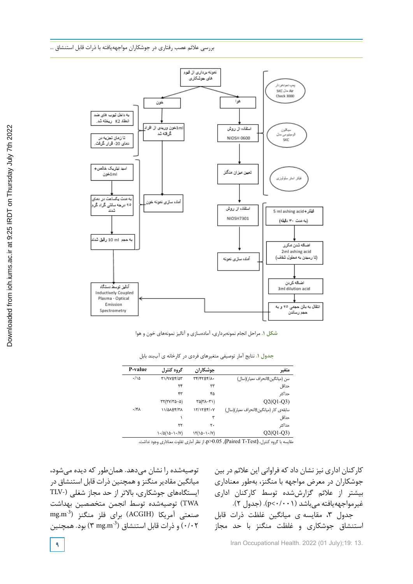

**شکل .1** مراحل انجام نمونهبرداری، آمادهسازی و آنالیز نمونههای خون و هوا جدول -1 نتایج آمار توصیفی متغیرهاي فردي در کارخانهي آببند بابل

**جدول .1** نتایج آمار توصیفی متغیرهای فردی در کارخانه ی آببند بابل

| P-value        | گروه کنترل                            | جوشكاران                                      | متغير                                  |
|----------------|---------------------------------------|-----------------------------------------------|----------------------------------------|
| $\cdot/\Delta$ | $T1/9V \pm 5/20$                      | <b>TY/FTIF/A.</b>                             | سن (میانگین±انحراف معیار)(سال)         |
|                | ٢۴                                    | ٢٣                                            | حداقل                                  |
|                | ۴۳                                    | ۴۵                                            | حداكثر                                 |
|                | $\tau\tau(\tau\nu/\tau\Delta-\Delta)$ | $\Gamma \Delta(\Upsilon \lambda - \Upsilon)$  | $Q2(Q1-Q3)$                            |
| $.$ /۴۸        | <b>II/AA±F/TA</b>                     | 17/17±4/-Y                                    | سابقەی کار (میانگین±انحراف معیار)(سال) |
|                | ١                                     | ٣                                             | حداقل                                  |
|                | ٢٢                                    | ٢٠                                            | حداكثر                                 |
|                | $\left(\frac{1}{2} \right)$           | $\left(\frac{1}{2} - 1 \cdot \sqrt{V}\right)$ | $Q2(Q1-Q3)$                            |

مقایسه با گروه کنترل، **(**Test-T Paired **(**, 0.05>p، از نظر آماري تفاوت معناداري وجود نداشت.

توصیهشده را نشان میدهد. همانطور که دیده میشود، میانگین مقادیر منگنز و همچنین ذرات قابل استنشاق در ایستگاههای جوشکاری، باالتر از حد مجاز شغلی (-TLV TWA (توصیهشده توسط انجمن متخصصین بهداشت mg.m-3 صنعتی آمریکا (ACGIH (برای فلز منگنز ( و ذرات قابل استنشاق (3 mg.m) بود. همچنین (3 سبتنشاق)

کارکنان اداری نیز نشان داد که فراوانی این عالئم در بین جوشکاران در معرض مواجهه با منگنز، بهطور معناداری بیشتر از عالئم گزارششده توسط کارکنان اداری غیرمواجههیافته می باشد (p<٠/٠٠١). (جدول ٢). جدول ۳، مقایسه ی میانگین غلظت ذرات قابل استنشاق جوشکاری و غلظت منگنز با حد مجاز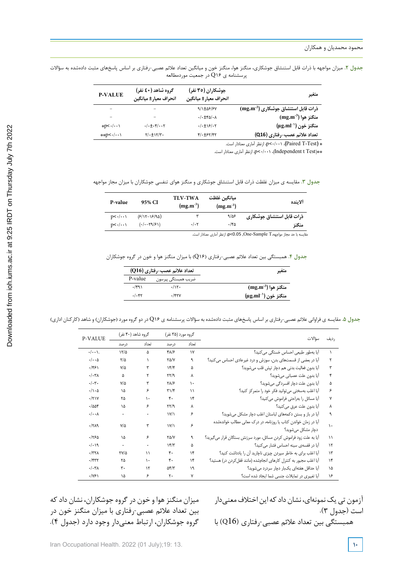جدول ۲. میزان مواجهه با ذرات قابل استنشاق جوشکاری، منگنز هوا، منگنز خون و میانگین تعداد علائم عصبی-رفتاری بر اساس پاسخهای مثبت دادهشده به سؤالات پرسشنامه ی 16Q در جمعیت موردمطالعه

| متغير                             | جوشکاران (۳٥ نفر)<br>انحراف معيار± ميانگين | گروه شاهد (50 نفر)<br>انحراف معيار± ميانگين          | <b>P-VALUE</b> |
|-----------------------------------|--------------------------------------------|------------------------------------------------------|----------------|
| ذرات قابل استنشاق جوشکاری (3mg.m) | $9/1 \pm \Delta 5/5V$                      |                                                      |                |
| $(mg.m^{-3})$ منگنز هوا           | $\cdot$ / $\cdot$ $\pm$ ۴۵/ $\cdot$ ۸      |                                                      |                |
| منگنز خون ('μg.ml)                | .1.191.7                                   | $\cdot$ / $\cdot$ $\pm$ $\cdot$ ۴/ $\cdot$ $\cdot$ ۲ | $p<-(\cdot)$   |
| تعداد علائم عصب-رفتاري (Q16)      | $f'.\pm f'$                                | $Y/\cdot \pm \frac{Y}{Y}$ .                          | **p<./         |
|                                   |                                            |                                                      |                |

\* **(**Test-T Paired**(**، 0/001<p، ازنظر آماري معنادار است.

\*\*(Test t Independent(، /001 0<p، ازنظر آماري معنادار است.

جدول ۳. مقایسه ی میزان غلظت ذرات قابل استنشاق جوشکاری و منگنز هوای تنفسی جوشکاران با میزان مجاز مواجهه

| P-value              | 95% CI         | <b>TLV-TWA</b><br>$(mg.m^{-3})$ | ميانگين غلظت<br>$(mg.m^{-3})$ | ألاينده                   |
|----------------------|----------------|---------------------------------|-------------------------------|---------------------------|
| $D<\cdot/\cdot\cdot$ | $(5/17-15/90)$ |                                 | 9/25                          | ذرات قابل استنشاق جوشكاري |
| $D<\cdot/\cdot\cdot$ | $(./-T9/F1)$   | $.$ / $.7$                      | ۱۴۵.                          | منگنز                     |

مقایسه با حد مجاز مواجهه،T Sample-One, 0.05<p، ازنظر آماري معنادار است.

جدول .4 همبستگی بین تعداد علائم عصبی-رفتاري ( 16Q (با میزان منگنز هوا و خون در گروه جوشکاران **جدول .4** همبستگی بین تعداد عالئم عصبی-رفتاری )16Q )با میزان منگنز هوا و خون در گروه جوشکاران

|         | تعداد علائم عصب-رفتاري (Q16) | متغير                          |
|---------|------------------------------|--------------------------------|
| P-value | ضريب همبستگى پيرسون          |                                |
| .791    | .715                         | $(\text{mg.m}^{-3})$ منگنز هوا |
| .1.88   | $.$ /۴۲۷                     | منگنز خون (' μg.ml)            |

جدول ۵. مقایسه ی فراوانی علائم عصبی-رفتاری بر اساس پاسخهای مثبت دادهشده به سؤالات پرسشنامه ی Q۱۶ در دو گروه مورد (جوشکاران) و شاهد (کارکنان اداری)

| <b>P-VALUE</b>               | گروه شاهد (۴۰ نفر) |               | گروه مورد (۳۵ نفر)                            |              | سؤالات                                                                                | رديف      |
|------------------------------|--------------------|---------------|-----------------------------------------------|--------------|---------------------------------------------------------------------------------------|-----------|
|                              | درصد               | تعداد         | درصد                                          | تعداد        |                                                                                       |           |
| $\cdot/\cdot\cdot$ .         | 17/2               | ۵             | $Y\Lambda/F$                                  | $\mathsf{v}$ | اًیا بهطور طبیعی احساس خستگی می کنید؟                                                 | $\lambda$ |
| $\cdot/\cdot\cdot \Delta$    | ۲/۵                | V             | $Y\Delta/Y$                                   | ٩            | آیا در بعضی از قسمتهای بدن، سوزش و درد غیرعادی احساس می کنید؟                         | ٢         |
| .751                         | $V/\Delta$         | ٣             | $Yf/\mathcal{F}$                              | ۵            | أيا بدون فعاليت بدني هم دچار تپش قلب مي شويد؟                                         | ٣         |
| $\cdot/\cdot\tau$            | ۵                  | ٢             | $\mathbf{Y} \mathbf{Y} / \mathbf{Q}$          | Υ            | أيا بدون علت عصباني ميشويد؟                                                           | ۴         |
| $\cdot/\cdot$ ۳.             | ۷۵                 | ٣             | <b>TA/۶</b>                                   | ١.           | آيا بدون علت دچار افسردگي ميشويد؟                                                     | ۵         |
| $\cdot/\rangle \cdot \Delta$ | ۱۵                 | ۶             | $\mathbf{r}/\mathbf{r}$                       | ۱۱           | أيا اغلب بهسختي مي توانيد فكر خود را متمركز كنيد؟                                     | ۶         |
| $\cdot$ /٢١٧                 | ۲۵                 | ١.            | $\mathfrak{r}$ .                              | ۱۴           | أيا مسائل را بەراحتى فراموش مى <i>ك</i> نيد؟                                          | ٧         |
| $-1008$                      | ۱۵                 | ۶             | $\mathbf{Y} \mathbf{Y} / \mathbf{Q}$          | ٨            | أيا بدون علت عرق ميكنيد؟                                                              | ٨         |
| $\cdot/\cdot\cdot$ $\wedge$  |                    |               | $\mathsf{I} \mathsf{V} \mathsf{I} \mathsf{I}$ | ۶            | آیا در باز و بستن دکمههای لباستان اغلب دچار مشکل میشوید؟                              | ٩         |
| $-7719$                      | $V/\Delta$         | ٣             | ۱۷/۱                                          | ۶            | آیا در زمان خواندن کتاب یا روزنامه، در درک معانی مطالب خواندهشده<br>دچار مشکل میشوید؟ | ١.        |
| ۱۲۶۵.                        | ١۵                 | ۶             | <b>TA/V</b>                                   | ٩            | أيا به علت زود فراموش كردن مسائل، مورد سرزنش بستگان قرار مي گيريد؟                    | ۱۱        |
| . / 9                        | ٠                  | ۰             | $Yf/\tau$                                     | ۵            | آیا در قفسهی سینه احساس فشار میکنید؟                                                  | ۱٢        |
| $\cdot$ /٣٢ $\Lambda$        | <b>TVID</b>        | ۱۱            | ۴٠                                            | ۱۴           | أيا اغلب براي به خاطر سپردن چيزي ناچاريد أن را يادداشت كنيد؟                          | ۱۳        |
| $.$ /۴۳۲                     | ۲۵                 | ١.            | ۴٠                                            | ۱۴           | أيا اغلب مجبور به كنترل كارهاى انجامشده (مانند قفل كردن در) هستيد؟                    | ۱۴        |
| $\cdot/\cdot\tau$            | ٣.                 | $\mathcal{N}$ | $\Delta f/Y$                                  | ١٩           | آیا حداقل هفتهای یکبار دچار سردرد می شوید؟                                            | ۱۵        |
| $\cdot/\gamma$ ۶۱            | ۱۵                 | ۶             | ٢.                                            | ٧            | أيا تغييري در تمايلات جنسي شما ايجاد شده است؟                                         | ۱۶        |

آزمون تی یک نمونهای، نشان داد که این اختلاف معنیدار است (جدول 3).

همبستگی بین تعداد علائم عصبی-رفتاری (Q $16$ ) با

میزان منگنزهوا و خون درگروه جوشکاران، نشان دادکه بین تعداد عالئم عصبی-رفتاری با میزان منگنز خون در گروه جوشکاران، ارتباط معنیدار وجود دارد (جدول 4).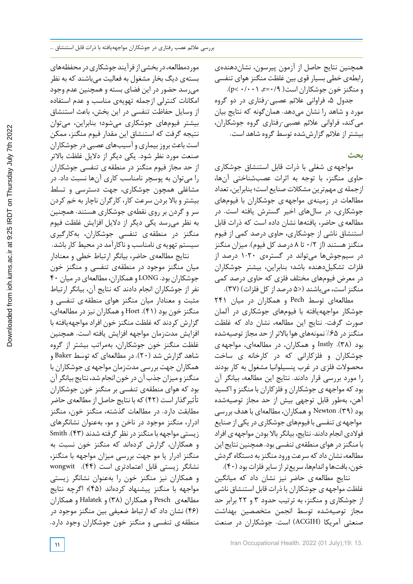همچنین نتایج حاصل از آزمون پیرسون، نشاندهندهی رابطهی خطی بسیار قوی بین غلظت منگنزهوای تنفسی  $(p<\cdot/\cdot\cdot)$ و منگنز خون جوشکاران است $r=(p<\cdot/2)$ .

جدول ۵، فراوانی علائم عصبی-رفتاری در دو گروه مورد و شاهد را نشان میدهد. همانگونه که نتایج بیان میکند، فراوانی عالئم عصبی-رفتاری گروه جوشکاران، بیشتراز عالئم گزارششده توسط گروه شاهد است.

**بحث**

مواجههی شغلی با ذرات قابل استنشاق جوشکاری حاوی منگنز، با توجه به اثرات عصبشناختی آنها، ازجمله ی مهمترین مشکلات صنایع است؛ بنابراین، تعداد مطالعات در زمینهی مواجههی جوشکاران با فیومهای جوشکاری، در سالهای اخیر گسترش یافته است. در مطالعهی حاضر، یافتهها نشان داده است که ذرات قابل استنشاق ناشی از جوشکاری، حاوی درصد کمی از فیوم منگنزهستند (از 0/2 تا 8 درصد کل فیوم). میزان منگنز در سیمجوشها میتواند در گسترهی 1-20 درصد از فلزات تشکیلدهنده باشد؛ بنابراین، بیشتر جوشکاران در معرض فیومهای مختلف فلزی که حاوی درصد کمی منگنزاست، میباشند (<5 درصد ازکل فلزات) (37).

مطالعهای توسط Pech و همکاران در میان 241 جوشکار مواجههیافته با فیومهای جوشکاری در آلمان صورت گرفت. نتایج این مطالعه، نشان داد که غلظت منگنزدر %65 نمونههای هوا باالتراز حد مجاز توصیهشده بود (38). Instly و همکاران، در مطالعهای، مواجههی جوشکاران و فلزکارانی که در کارخانه ی ساخت محصوالت فلزی در غرب پنسیلوانیا مشغول به کار بودند را مورد بررسی قرار دادند. نتایج این مطالعه، بیانگر آن بودکه مواجههی جوشکاران و فلزکاران با منگنزو اکسید آهن، بهطور قابل توجهی بیش از حد مجاز توصیهشده بود (39). Newton وهمکاران، مطالعهای باهدف بررسی مواجهه ی تنفسی با فیومهای جوشکاری در یکی از صنایع فوالدی انجام دادند. نتایج، بیانگرباال بودن مواجهه ی افراد با منگنز در هوای منطقهی تنفسی بود. همچنین نتایج این مطالعه، نشان دادکه سرعت ورودمنگنزبه دستگاهگردش خون، بافتها و اندامها، سریعتر از سایر فلزات بود (۴۰).

نتایج مطالعهی حاضر نیز نشان داد که میانگین غلظت مواجههی جوشکاران باذرات قابل استنشاق ناشی از جوشکاری و منگنز، به ترتیب حدود 3 و 22 برابر حد مجاز توصیهشده توسط انجمن متخصصین بهداشت صنعتی آمریکا (ACGIH (است. جوشکاران در صنعت

موردمطالعه،دربخشیازفرآیندجوشکاریدرمحفظههای بستهی دیگ بخار مشغول به فعالیت میباشند که به نظر میرسد حضور در این فضای بسته و همچنین عدم وجود امکانات کنترلی ازجمله تهویهی مناسب و عدم استفاده از وسایل حفاظت تنفسی در این بخش، باعث استنشاق بیشتر فیومهای جوشکاری میشود؛ بنابراین، میتوان نتیجه گرفت که استنشاق این مقدار فیوم منگنز، ممکن است باعث بروز بیماری و آسیبهای عصبی در جوشکاران صنعت مورد نظر شود. یکی دیگر از دالیل غلظت باالتر از حد مجاز فیوم منگنز در منطقه ی تنفسی جوشکاران را میتوان به پوسچر نامناسب کاری آنها نسبت داد. در مشاغلی همچون جوشکاری، جهت دسترسی و تسلط بیشتر و باال بردن سرعت کار، کارگران ناچار به خم کردن سر و گردن بر روی نقطهی جوشکاری هستند. همچنین به نظر میرسد یکی دیگر از دالیل افزایش غلظت فیوم منگنز در منطقه ی تنفسی جوشکاران، بهکارگیری سیستم تهویه ی نامناسب و ناکارآمد در محیط کار باشد. نتایج مطالعهی حاضر، بیانگر ارتباط خطی و معنادار

میان منگنز موجود در منطقهی تنفسی و منگنز خون جوشکاران بود. LONG وهمکاران،مطالعهایدرمیان 40 نفر از جوشکاران انجام دادند که نتایج آن، بیانگر ارتباط مثبت و معنادار میان منگنز هوای منطقه ی تنفسی و منگنز خون بود (41). Hoet وهمکاران نیز در مطالعهای، گزارش کردند که غلظت منگنز خون افراد مواجههیافته با افزایش مدتزمان مواجهه افزایش یافته است. همچنین غلظت منگنز خون جوشکاران، بهمراتب بیشتر از گروه شاهد گزارش شد (20). در مطالعهای که توسط Baker و همکاران جهت بررسی مدتزمان مواجههی جوشکاران با منگنزومیزان جذبآن در خون انجام شد، نتایجبیانگرآن بود که هوای منطقهی تنفسی بر منگنز خون جوشکاران تأثیرگذار است (42) که با نتایج حاصل از مطالعهی حاضر مطابقت دارد. در مطالعات گذشته، منگنز خون، منگنز ادرار، منگنز موجود در ناخن و مو، بهعنوان نشانگرهای زیستی مواجهه بامنگنزدر نظرگرفته شدند (43). Smith و همکاران، گزارش کردهاند که منگنز خون نسبت به منگنز ادرار یا مو جهت بررسی میزان مواجهه با منگنز، نشانگر زیستی قابل اعتمادتری است (44). wongwit و همکاران نیز منگنز خون را بهعنوان نشانگر زیستی مواجهه با منگنز پیشنهاد کردهاند (45)؛ اگرچه نتایج مطالعهی Pesch و همکاران (38) و Halatek و همکاران (46) نشان داد که ارتباط ضعیفی بین منگنز موجود در منطقه ی تنفسی و منگنز خون جوشکاران وجود دارد.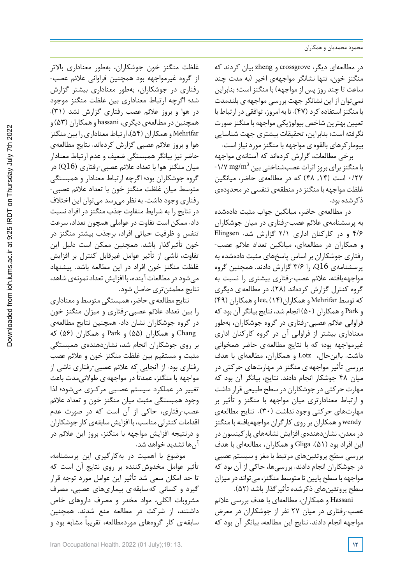در مطالعهای دیگر، crossgrove و zheng بیان کردند که منگنز خون، تنها نشانگر مواجههی اخیر (به مدت چند ساعت تا چند روز پس از مواجهه) با منگنز است؛ بنابراین نمیتوان از این نشانگر جهت بررسی مواجههی بلندمدت با منگنز استفاده کرد (۴۷). تا به امروز، توافقی در ارتباط با تعیین بهترین شاخص بیولوژیکی مواجهه با منگنز صورت نگرفته است؛ بنابراین، تحقیقات بیشتری جهت شناسایی بیومارکرهای بالقوهی مواجهه با منگنزموردنیاز است.

برخی مطالعات، گزارش کردهاند که آستانهی مواجهه -۱/۷ mg/m $^3$  با منگنز برای بروز اثرات عصبشناختی بین 0/27 است (,14 48) که در مطالعهی حاضر، میانگین غلظت مواجهه با منگنزدر منطقهی تنفسی در محدودهی ذکرشده بود.

در مطالعهی حاضر، میانگین جواب مثبت دادهشده به پرسشنامهی عالئم عصب-رفتاری در میان جوشکاران 4/6 و در کارکنان اداری 2/1 گزارش شد. Elingsen و همکاران در مطالعهای، میانگین تعداد عالئم عصب- رفتاری جوشکاران بر اساس پاسخهای مثبت دادهشده به پرسشنامهی 16Q، را 3/6 گزارش دادند. همچنین گروه مواجههیافته، عالئم عصب-رفتاری بیشتری را نسبت به گروه کنترل گزارش کردهاند (28). در مطالعهی دیگری که توسطMehrifar وهمکاران(14) ،lee وهمکاران (49) و Park وهمکاران (50) انجام شد، نتایج بیانگرآن بودکه فراوانی عالئم عصبی-رفتاری در گروه جوشکاران، بهطور معناداری بیشتر از فراوانی آن در گروه کارکنان اداری غیرمواجهه بود؛ که با نتایج مطالعهی حاضر همخوانی داشت. بااینحال، Lotz و همکاران، مطالعهای با هدف بررسی تأثیر مواجههی منگنز در مهارتهای حرکتی در میان 48 جوشکار انجام دادند. نتایج، بیانگر آن بود که مهارت حرکتی در جوشکاران در سطح طبیعی قرار داشت و ارتباط معنادارتری میان مواجهه با منگنز و تأثیر بر مهارتهای حرکتی وجود نداشت (30). نتایج مطالعهی wendy وهمکاران برروی کارگران مواجههیافته با منگنز در معدن، نشاندهندهی افزایش نشانههایپارکینسون در این افراد بود (51). Gliga و همکاران، مطالعهای با هدف بررسی سطح پروتئینهای مرتبط با مغز و سیستم عصبی در جوشکاران انجام دادند. بررسیها، حاکی از آن بود که مواجهه با سطح پایین تا متوسط منگنز، میتواند در میزان سطح پروتئینهای ذکرشده تأثیرگذار باشد (52).

Hassani و همکاران، مطالعهای با هدف بررسی عالئم عصب-رفتاری در میان 27 نفر از جوشکاران در معرض مواجهه انجام دادند. نتایج این مطالعه، بیانگر آن بود که

غلظت منگنز خون جوشکاران، بهطور معناداری باالتر از گروه غیرمواجهه بود همچنین فراوانی عالئم عصب- رفتاری در جوشکاران، بهطور معناداری بیشتر گزارش شد؛ اگرچه ارتباط معناداری بین غلظت منگنز موجود در هوا و بروز عالئم عصب رفتاری گزارش نشد (31). همچنین درمطالعهیدیگری، hassani وهمکاران (53) و Mehrifar و همکاران (۵۴)، ارتباط معناداری را بین منگنز هوا و بروز عالئم عصبی گزارش کردهاند. نتایج مطالعهی حاضر نیز بیانگر همبستگی ضعیف و عدم ارتباط معنادار میان منگنز هوا با تعداد عالئم عصبی-رفتاری (16Q (در گروه جوشکاران بود؛ اگرچه ارتباط معنادار و همبستگی متوسط میان غلظت منگنز خون با تعداد عالئم عصبی- رفتاری وجود داشت. به نظر میرسد میتوان این اختالف در نتایج را به شرایط متفاوت جذب منگنز در افراد نسبت داد. ممکن است تفاوت در عواملی همچون تعداد، سرعت تنفس و ظرفیت حیاتی افراد، برجذب بیشتر منگنز در خون تأثیرگذار باشد. همچنین ممکن است دلیل این تفاوت، ناشی از تأثیر عوامل غیرقابل کنترل بر افزایش غلظت منگنز خون افراد در این مطالعه باشد. پیشنهاد میشود در مطالعات آینده، با افزایش تعداد نمونهی شاهد، نتایج مطمئنتری حاصل شود.

نتایج مطالعه ی حاضر، همبستگی متوسط و معناداری را بین تعداد عالئم عصبی-رفتاری و میزان منگنز خون در گروه جوشکاران نشان داد. همچنین نتایج مطالعهی Chang و همکاران (55) و Park و همکاران (56) که بر روی جوشکاران انجام شد، نشاندهندهی همبستگی مثبت و مستقیم بین غلظت منگنز خون و عالئم عصب رفتاری بود. از آنجایی که عالئم عصبی-رفتاری ناشی از مواجهه با منگنز، عمدتاً در مواجهه ی طولانیمدت باعث تغییر در عملکرد سیستم عصـبی مرکـزی میشود؛ لذا وجود همبستگی مثبت میان منگنز خون و تعداد عالئم عصب-رفتاری، حاکی از آن است که در صورت عدم اقدامات کنترلی مناسب، با افزایش سابقهی کار جوشکاران و درنتیجه افزایش مواجهه با منگنز، بروز این عالئم در آنها تشدید خواهد شد.

موضوع با اهمیت در بهکارگیری این پرسشنامه، تأثیر عوامل مخدوشکننده بر روی نتایج آن است که تا حد امکان سعی شد تأثیر این عوامل مورد توجه قرار گیرد و کسانی کهسابقهی بیماریهای عصبی، مصرف مشروبات الکلی، مواد مخدر و مصرف داروهای خاص داشتند، از شرکت در مطالعه منع شدند. همچنین سابقه ی کار گروههای موردمطالعه، تقریباً مشابه بود و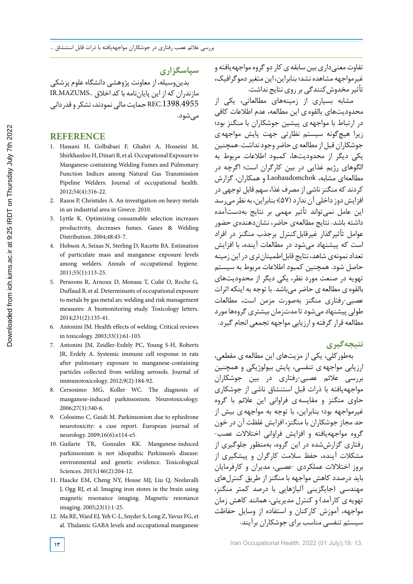تفاوت معنیداری بین سابقه ی کار دو گروه مواجههیافته و غیرمواجهه مشاهده نشد؛ بنابراین، این متغیر دموگرافیک، تأثیر مخدوش کنندگی بر روی نتایج نداشت.

مشابه بسیاری از زمینههای مطالعاتی، یکی از محدودیتهای بالقوهی این مطالعه، عدم اطالعات کافی در ارتباط با مواجههی پیشین جوشکاران با منگنز بود؛ زیرا هیچگونه سیستم نظارتی جهت پایش مواجههی جوشکاران قبل از مطالعه ی حاضر وجود نداشت. همچنین یکی دیگر از محدودیتها، کمبود اطالعات مربوط به الگوهای رژیم غذایی در بین کارگران است؛ اگرچه در مطالعهای مشابه، Laohaudomchok و همکاران، گزارش کردند که منگنز ناشی از مصرف غذا، سهم قابل توجهی در افزایش دوز داخلی آن ندارد (۵۷)؛ بنابراین، به نظر می رسد این عامل نمیتواند تأثیر مهمی بر نتایج بهدستآمده داشته باشد. نتایج مطالعهی حاضر، نشاندهندهی حضور عوامل تأثیرگذار غیرقابلکنترل برجذب منگنز در افراد است که پیشنهاد میشود در مطالعات آینده، با افزایش تعداد نمونهی شاهد، نتایج قابل اطمینان تری در این زمینه حاصل شود. همچنین کمبود اطالعات مربوط به سیستم تهویه در صنعت مورد نظر، یکی دیگر از محدودیتهای بالقوهی مطالعهی حاضر میباشد. با توجه به اینکه اثرات عصبی-رفتاری منگنز بهصورت مزمن است، مطالعات طولی ییشنهاد می شود تا مدتزمان بیشتری گروهها مورد مطالعه قرارگرفته و ارزیابی مواجهه تجمعی انجام گیرد.

## **نتیجهگیری**

بهطورکلی، یکی از مزیتهای این مطالعهی مقطعی، ارزیابی مواجههی تنفسی، پایش بیولوژیکی و همچنین بررسی عالئم عصبی-رفتاری در بین جوشکاران مواجههیافته با ذرات قبل استنشاق ناشی از جوشکاری حاوی منگنز و مقایسه ی فراوانی این عالئم با گروه غیرمواجهه بود؛ بنابراین، با توجه به مواجههی بیش از حد مجاز جوشکاران با منگنز، افزایش غلظت آن در خون گروه مواجههیافته و افزایش فراوانی اختالالت عصب- رفتاری گزارششده در این گروه، بهمنظور جلوگیری از مشکالت آینده، حفظ سالمت کارگران و پیشگیری از بروز اختالالت عملکردی -عصبی، مدیران و کارفرمایان باید درصدد کاهش مواجهه با منگنز از طریق کنترلهای مهندسی (جایگزینی آلیاژهایی با درصد کمتر منگنز، تهویه ی کارآمد) و کنترل مدیریتی، همانند کاهش زمان مواجهه، آموزش کارکنان و استفاده از وسایل حفاظت سیستم تنفسی مناسب برای جوشکاران برآیند.

**سپاسگزاری**

بدینوسیله، از معاونت پژوهشی دانشگاه علوم پزشکی مازندران که از این پایاننامه باکد اخالق ..MAZUMS.IR 8.4955.REC حمایت مالی نمودند، تشکر و قدردانی میشود.

### **REFERENCE**

- 1. Hassani H, Golbabaei F, Ghahri A, Hosseini M, Shirkhanloo H, Dinari B, et al. Occupational Exposure to Manganese‐containing Welding Fumes and Pulmonary Function Indices among Natural Gas Transmission Pipeline Welders. Journal of occupational health. 2012;54(4):316-22.
- 2. Razos P, Christides A. An investigation on heavy metals in an industrial area in Greece. 2010.
- 3. Lyttle K. Optimizing consumable selection increases productivity, decreases fumes. Gases & Welding Distribution. 2004;48:45-7.
- 4. Hobson A, Seixas N, Sterling D, Racette BA. Estimation of particulate mass and manganese exposure levels among welders. Annals of occupational hygiene. 2011;55(1):113-25.
- 5. Persoons R, Arnoux D, Monssu T, Culié O, Roche G, Duffaud B, et al. Determinants of occupational exposure to metals by gas metal arc welding and risk management measures: A biomonitoring study. Toxicology letters. 2014;231(2):135-41.
- 6. Antonini JM. Health effects of welding. Critical reviews in toxicology. 2003;33(1):61-103.
- 7. Antonini JM, Zeidler-Erdely PC, Young S-H, Roberts JR, Erdely A. Systemic immune cell response in rats after pulmonary exposure to manganese-containing particles collected from welding aerosols. Journal of immunotoxicology. 2012;9(2):184-92.
- 8. Cersosimo MG, Koller WC. The diagnosis of manganese-induced parkinsonism. Neurotoxicology. 2006;27(3):340-6.
- 9. Colosimo C, Guidi M. Parkinsonism due to ephedrone neurotoxicity: a case report. European journal of neurology. 2009;16(6):e114-e5.
- 10. Guilarte TR, Gonzales KK. Manganese-induced parkinsonism is not idiopathic Parkinson's disease: environmental and genetic evidence. Toxicological Sciences. 2015;146(2):204-12.
- 11. Haacke EM, Cheng NY, House MJ, Liu Q, Neelavalli J, Ogg RJ, et al. Imaging iron stores in the brain using magnetic resonance imaging. Magnetic resonance imaging. 2005;23(1):1-25.
- 12. Ma RE, Ward EJ, Yeh C-L, Snyder S, Long Z, Yavuz FG, et al. Thalamic GABA levels and occupational manganese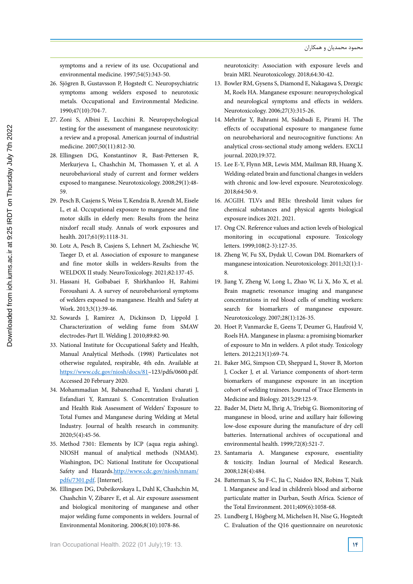symptoms and a review of its use. Occupational and environmental medicine. 1997;54(5):343-50.

- 26. Sjögren B, Gustavsson P, Hogstedt C. Neuropsychiatric symptoms among welders exposed to neurotoxic metals. Occupational and Environmental Medicine. 1990;47(10):704-7.
- 27. Zoni S, Albini E, Lucchini R. Neuropsychological testing for the assessment of manganese neurotoxicity: a review and a proposal. American journal of industrial medicine. 2007;50(11):812-30.
- 28. Ellingsen DG, Konstantinov R, Bast-Pettersen R, Merkurjeva L, Chashchin M, Thomassen Y, et al. A neurobehavioral study of current and former welders exposed to manganese. Neurotoxicology. 2008;29(1):48- 59.
- 29. Pesch B, Casjens S, Weiss T, Kendzia B, Arendt M, Eisele L, et al. Occupational exposure to manganese and fine motor skills in elderly men: Results from the heinz nixdorf recall study. Annals of work exposures and health. 2017;61(9):1118-31.
- 30. Lotz A, Pesch B, Casjens S, Lehnert M, Zschiesche W, Taeger D, et al. Association of exposure to manganese and fine motor skills in welders-Results from the WELDOX II study. NeuroToxicology. 2021;82:137-45.
- 31. Hassani H, Golbabaei F, Shirkhanloo H, Rahimi Foroushani A. A survey of neurobehavioral symptoms of welders exposed to manganese. Health and Safety at Work. 2013;3(1):39-46.
- 32. Sowards J, Ramirez A, Dickinson D, Lippold J. Characterization of welding fume from SMAW electrodes-Part II. Welding J. 2010;89:82-90.
- 33. National Institute for Occupational Safety and Health, Manual Analytical Methods. (1998) Particulates not otherwise regulated, respirable, 4th edn. Available at https://www.cdc.gov/niosh/docs/81–123/pdfs/0600.pdf. Accessed 20 February 2020.
- 34. Mohammadian M, Babanezhad E, Yazdani charati J, Esfandiari Y, Ramzani S. Concentration Evaluation and Health Risk Assessment of Welders' Exposure to Total Fumes and Manganese during Welding at Metal Industry. Journal of health research in community. 2020;5(4):45-56.
- 35. Method 7301: Elements by ICP (aqua regia ashing). NIOSH manual of analytical methods (NMAM). Washington, DC: National Institute for Occupational Safety and Hazards.http://www.cdc.gov/niosh/nmam/ pdfs/7301.pdf. [Internet].
- 36. Ellingsen DG, Dubeikovskaya L, Dahl K, Chashchin M, Chashchin V, Zibarev E, et al. Air exposure assessment and biological monitoring of manganese and other major welding fume components in welders. Journal of Environmental Monitoring. 2006;8(10):1078-86.

neurotoxicity: Association with exposure levels and brain MRI. Neurotoxicology. 2018;64:30-42.

- 13. Bowler RM, Gysens S, Diamond E, Nakagawa S, Drezgic M, Roels HA. Manganese exposure: neuropsychological and neurological symptoms and effects in welders. Neurotoxicology. 2006;27(3):315-26.
- 14. Mehrifar Y, Bahrami M, Sidabadi E, Pirami H. The effects of occupational exposure to manganese fume on neurobehavioral and neurocognitive functions: An analytical cross-sectional study among welders. EXCLI journal. 2020;19:372.
- 15. Lee E-Y, Flynn MR, Lewis MM, Mailman RB, Huang X. Welding-related brain and functional changes in welders with chronic and low-level exposure. Neurotoxicology. 2018;64:50-9.
- 16. ACGIH. TLVs and BEIs: threshold limit values for chemical substances and physical agents biological exposure indices 2021. 2021.
- 17. Ong CN. Reference values and action levels of biological monitoring in occupational exposure. Toxicology letters. 1999;108(2-3):127-35.
- 18. Zheng W, Fu SX, Dydak U, Cowan DM. Biomarkers of manganese intoxication. Neurotoxicology. 2011;32(1):1- 8.
- 19. Jiang Y, Zheng W, Long L, Zhao W, Li X, Mo X, et al. Brain magnetic resonance imaging and manganese concentrations in red blood cells of smelting workers: search for biomarkers of manganese exposure. Neurotoxicology. 2007;28(1):126-35.
- 20. Hoet P, Vanmarcke E, Geens T, Deumer G, Haufroid V, Roels HA. Manganese in plasma: a promising biomarker of exposure to Mn in welders. A pilot study. Toxicology letters. 2012;213(1):69-74.
- 21. Baker MG, Simpson CD, Sheppard L, Stover B, Morton J, Cocker J, et al. Variance components of short-term biomarkers of manganese exposure in an inception cohort of welding trainees. Journal of Trace Elements in Medicine and Biology. 2015;29:123-9.
- 22. Bader M, Dietz M, Ihrig A, Triebig G. Biomonitoring of manganese in blood, urine and axillary hair following low-dose exposure during the manufacture of dry cell batteries. International archives of occupational and environmental health. 1999;72(8):521-7.
- 23. Santamaria A. Manganese exposure, essentiality & toxicity. Indian Journal of Medical Research. 2008;128(4):484.
- 24. Batterman S, Su F-C, Jia C, Naidoo RN, Robins T, Naik I. Manganese and lead in children's blood and airborne particulate matter in Durban, South Africa. Science of the Total Environment. 2011;409(6):1058-68.
- 25. Lundberg I, Högberg M, Michelsen H, Nise G, Hogstedt C. Evaluation of the Q16 questionnaire on neurotoxic